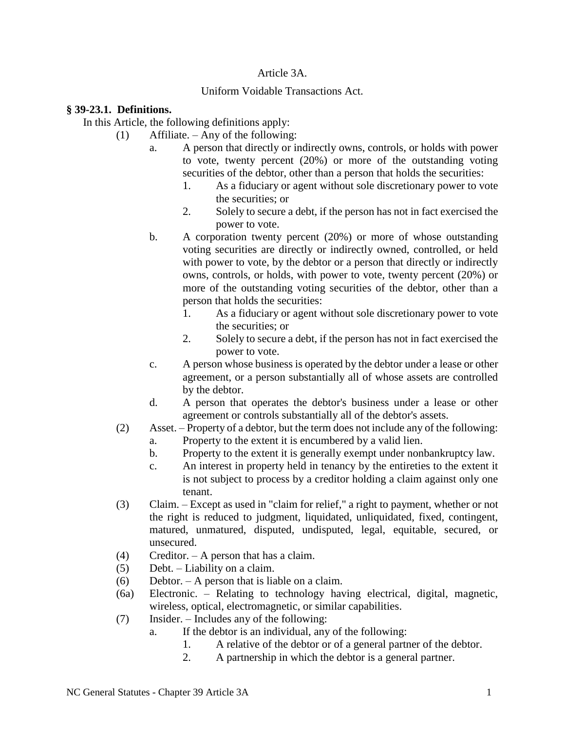## Article 3A.

## Uniform Voidable Transactions Act.

## **§ 39-23.1. Definitions.**

In this Article, the following definitions apply:

(1) Affiliate. – Any of the following:

- a. A person that directly or indirectly owns, controls, or holds with power to vote, twenty percent (20%) or more of the outstanding voting securities of the debtor, other than a person that holds the securities:
	- 1. As a fiduciary or agent without sole discretionary power to vote the securities; or
	- 2. Solely to secure a debt, if the person has not in fact exercised the power to vote.
- b. A corporation twenty percent (20%) or more of whose outstanding voting securities are directly or indirectly owned, controlled, or held with power to vote, by the debtor or a person that directly or indirectly owns, controls, or holds, with power to vote, twenty percent (20%) or more of the outstanding voting securities of the debtor, other than a person that holds the securities:
	- 1. As a fiduciary or agent without sole discretionary power to vote the securities; or
	- 2. Solely to secure a debt, if the person has not in fact exercised the power to vote.
- c. A person whose business is operated by the debtor under a lease or other agreement, or a person substantially all of whose assets are controlled by the debtor.
- d. A person that operates the debtor's business under a lease or other agreement or controls substantially all of the debtor's assets.
- (2) Asset. Property of a debtor, but the term does not include any of the following:
	- a. Property to the extent it is encumbered by a valid lien.
	- b. Property to the extent it is generally exempt under nonbankruptcy law.
	- c. An interest in property held in tenancy by the entireties to the extent it is not subject to process by a creditor holding a claim against only one tenant.
- (3) Claim. Except as used in "claim for relief," a right to payment, whether or not the right is reduced to judgment, liquidated, unliquidated, fixed, contingent, matured, unmatured, disputed, undisputed, legal, equitable, secured, or unsecured.
- (4) Creditor. A person that has a claim.
- (5) Debt. Liability on a claim.
- (6) Debtor. A person that is liable on a claim.
- (6a) Electronic. Relating to technology having electrical, digital, magnetic, wireless, optical, electromagnetic, or similar capabilities.
- (7) Insider. Includes any of the following:
	- a. If the debtor is an individual, any of the following:
		- 1. A relative of the debtor or of a general partner of the debtor.
		- 2. A partnership in which the debtor is a general partner.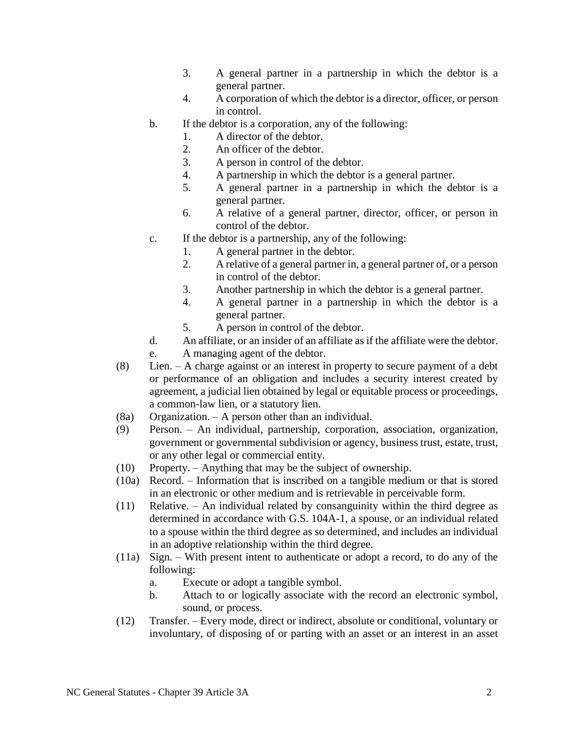- 3. A general partner in a partnership in which the debtor is a general partner.
- 4. A corporation of which the debtor is a director, officer, or person in control.
- b. If the debtor is a corporation, any of the following:
	- 1. A director of the debtor.
	- 2. An officer of the debtor.
	- 3. A person in control of the debtor.
	- 4. A partnership in which the debtor is a general partner.
	- 5. A general partner in a partnership in which the debtor is a general partner.
	- 6. A relative of a general partner, director, officer, or person in control of the debtor.
- c. If the debtor is a partnership, any of the following:
	- 1. A general partner in the debtor.
	- 2. A relative of a general partner in, a general partner of, or a person in control of the debtor.
	- 3. Another partnership in which the debtor is a general partner.
	- 4. A general partner in a partnership in which the debtor is a general partner.
	- 5. A person in control of the debtor.
- d. An affiliate, or an insider of an affiliate as if the affiliate were the debtor.
- e. A managing agent of the debtor.
- (8) Lien. A charge against or an interest in property to secure payment of a debt or performance of an obligation and includes a security interest created by agreement, a judicial lien obtained by legal or equitable process or proceedings, a common-law lien, or a statutory lien.
- (8a) Organization. A person other than an individual.
- (9) Person. An individual, partnership, corporation, association, organization, government or governmental subdivision or agency, business trust, estate, trust, or any other legal or commercial entity.
- (10) Property. Anything that may be the subject of ownership.
- (10a) Record. Information that is inscribed on a tangible medium or that is stored in an electronic or other medium and is retrievable in perceivable form.
- (11) Relative. An individual related by consanguinity within the third degree as determined in accordance with G.S. 104A-1, a spouse, or an individual related to a spouse within the third degree as so determined, and includes an individual in an adoptive relationship within the third degree.
- (11a) Sign. With present intent to authenticate or adopt a record, to do any of the following:
	- a. Execute or adopt a tangible symbol.
	- b. Attach to or logically associate with the record an electronic symbol, sound, or process.
- (12) Transfer. Every mode, direct or indirect, absolute or conditional, voluntary or involuntary, of disposing of or parting with an asset or an interest in an asset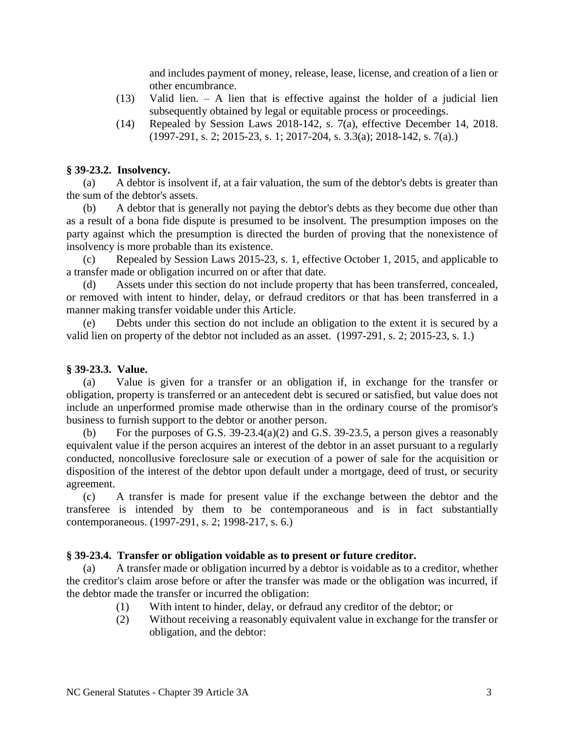and includes payment of money, release, lease, license, and creation of a lien or other encumbrance.

- (13) Valid lien. A lien that is effective against the holder of a judicial lien subsequently obtained by legal or equitable process or proceedings.
- (14) Repealed by Session Laws 2018-142, s. 7(a), effective December 14, 2018. (1997-291, s. 2; 2015-23, s. 1; 2017-204, s. 3.3(a); 2018-142, s. 7(a).)

#### **§ 39-23.2. Insolvency.**

(a) A debtor is insolvent if, at a fair valuation, the sum of the debtor's debts is greater than the sum of the debtor's assets.

(b) A debtor that is generally not paying the debtor's debts as they become due other than as a result of a bona fide dispute is presumed to be insolvent. The presumption imposes on the party against which the presumption is directed the burden of proving that the nonexistence of insolvency is more probable than its existence.

(c) Repealed by Session Laws 2015-23, s. 1, effective October 1, 2015, and applicable to a transfer made or obligation incurred on or after that date.

(d) Assets under this section do not include property that has been transferred, concealed, or removed with intent to hinder, delay, or defraud creditors or that has been transferred in a manner making transfer voidable under this Article.

(e) Debts under this section do not include an obligation to the extent it is secured by a valid lien on property of the debtor not included as an asset. (1997-291, s. 2; 2015-23, s. 1.)

#### **§ 39-23.3. Value.**

(a) Value is given for a transfer or an obligation if, in exchange for the transfer or obligation, property is transferred or an antecedent debt is secured or satisfied, but value does not include an unperformed promise made otherwise than in the ordinary course of the promisor's business to furnish support to the debtor or another person.

(b) For the purposes of G.S. 39-23.4(a)(2) and G.S. 39-23.5, a person gives a reasonably equivalent value if the person acquires an interest of the debtor in an asset pursuant to a regularly conducted, noncollusive foreclosure sale or execution of a power of sale for the acquisition or disposition of the interest of the debtor upon default under a mortgage, deed of trust, or security agreement.

(c) A transfer is made for present value if the exchange between the debtor and the transferee is intended by them to be contemporaneous and is in fact substantially contemporaneous. (1997-291, s. 2; 1998-217, s. 6.)

### **§ 39-23.4. Transfer or obligation voidable as to present or future creditor.**

(a) A transfer made or obligation incurred by a debtor is voidable as to a creditor, whether the creditor's claim arose before or after the transfer was made or the obligation was incurred, if the debtor made the transfer or incurred the obligation:

- (1) With intent to hinder, delay, or defraud any creditor of the debtor; or
- (2) Without receiving a reasonably equivalent value in exchange for the transfer or obligation, and the debtor: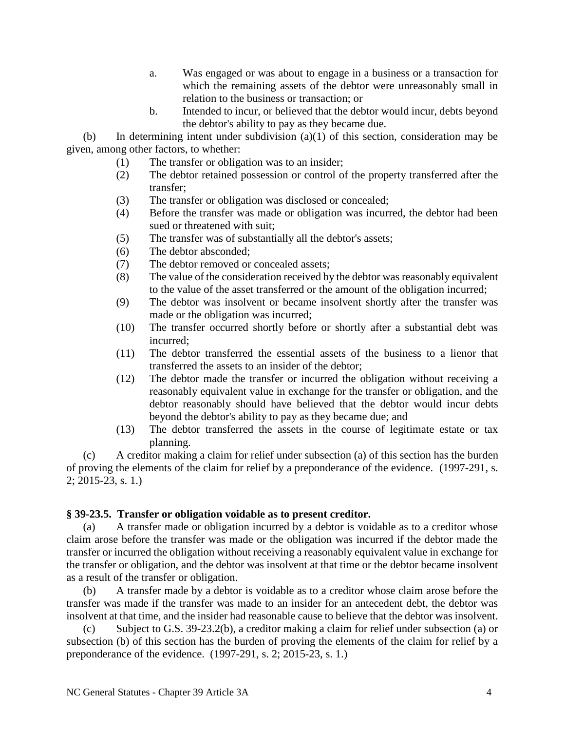- a. Was engaged or was about to engage in a business or a transaction for which the remaining assets of the debtor were unreasonably small in relation to the business or transaction; or
- b. Intended to incur, or believed that the debtor would incur, debts beyond the debtor's ability to pay as they became due.

(b) In determining intent under subdivision (a)(1) of this section, consideration may be given, among other factors, to whether:

- (1) The transfer or obligation was to an insider;
- (2) The debtor retained possession or control of the property transferred after the transfer;
- (3) The transfer or obligation was disclosed or concealed;
- (4) Before the transfer was made or obligation was incurred, the debtor had been sued or threatened with suit;
- (5) The transfer was of substantially all the debtor's assets;
- (6) The debtor absconded;
- (7) The debtor removed or concealed assets;
- (8) The value of the consideration received by the debtor was reasonably equivalent to the value of the asset transferred or the amount of the obligation incurred;
- (9) The debtor was insolvent or became insolvent shortly after the transfer was made or the obligation was incurred;
- (10) The transfer occurred shortly before or shortly after a substantial debt was incurred;
- (11) The debtor transferred the essential assets of the business to a lienor that transferred the assets to an insider of the debtor;
- (12) The debtor made the transfer or incurred the obligation without receiving a reasonably equivalent value in exchange for the transfer or obligation, and the debtor reasonably should have believed that the debtor would incur debts beyond the debtor's ability to pay as they became due; and
- (13) The debtor transferred the assets in the course of legitimate estate or tax planning.

(c) A creditor making a claim for relief under subsection (a) of this section has the burden of proving the elements of the claim for relief by a preponderance of the evidence. (1997-291, s. 2; 2015-23, s. 1.)

#### **§ 39-23.5. Transfer or obligation voidable as to present creditor.**

(a) A transfer made or obligation incurred by a debtor is voidable as to a creditor whose claim arose before the transfer was made or the obligation was incurred if the debtor made the transfer or incurred the obligation without receiving a reasonably equivalent value in exchange for the transfer or obligation, and the debtor was insolvent at that time or the debtor became insolvent as a result of the transfer or obligation.

(b) A transfer made by a debtor is voidable as to a creditor whose claim arose before the transfer was made if the transfer was made to an insider for an antecedent debt, the debtor was insolvent at that time, and the insider had reasonable cause to believe that the debtor was insolvent.

(c) Subject to G.S. 39-23.2(b), a creditor making a claim for relief under subsection (a) or subsection (b) of this section has the burden of proving the elements of the claim for relief by a preponderance of the evidence. (1997-291, s. 2; 2015-23, s. 1.)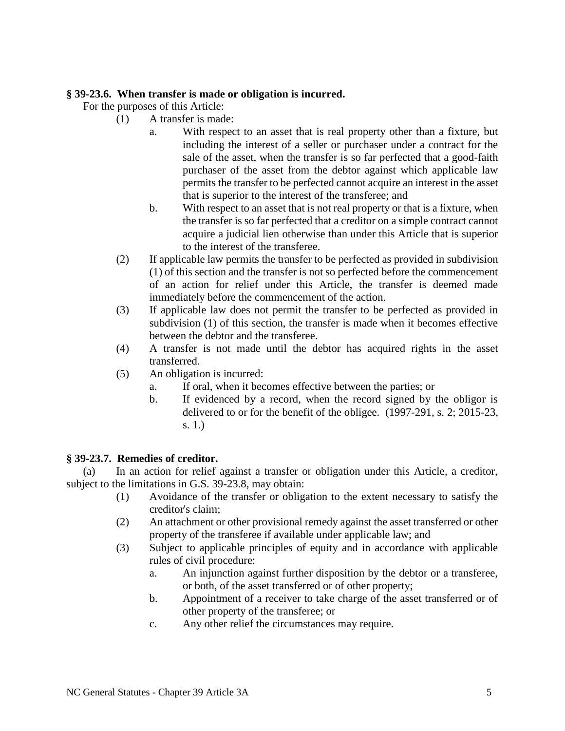## **§ 39-23.6. When transfer is made or obligation is incurred.**

For the purposes of this Article:

- (1) A transfer is made:
	- a. With respect to an asset that is real property other than a fixture, but including the interest of a seller or purchaser under a contract for the sale of the asset, when the transfer is so far perfected that a good-faith purchaser of the asset from the debtor against which applicable law permits the transfer to be perfected cannot acquire an interest in the asset that is superior to the interest of the transferee; and
	- b. With respect to an asset that is not real property or that is a fixture, when the transfer is so far perfected that a creditor on a simple contract cannot acquire a judicial lien otherwise than under this Article that is superior to the interest of the transferee.
- (2) If applicable law permits the transfer to be perfected as provided in subdivision (1) of this section and the transfer is not so perfected before the commencement of an action for relief under this Article, the transfer is deemed made immediately before the commencement of the action.
- (3) If applicable law does not permit the transfer to be perfected as provided in subdivision (1) of this section, the transfer is made when it becomes effective between the debtor and the transferee.
- (4) A transfer is not made until the debtor has acquired rights in the asset transferred.
- (5) An obligation is incurred:
	- a. If oral, when it becomes effective between the parties; or
	- b. If evidenced by a record, when the record signed by the obligor is delivered to or for the benefit of the obligee. (1997-291, s. 2; 2015-23, s. 1.)

# **§ 39-23.7. Remedies of creditor.**

(a) In an action for relief against a transfer or obligation under this Article, a creditor, subject to the limitations in G.S. 39-23.8, may obtain:

- (1) Avoidance of the transfer or obligation to the extent necessary to satisfy the creditor's claim;
- (2) An attachment or other provisional remedy against the asset transferred or other property of the transferee if available under applicable law; and
- (3) Subject to applicable principles of equity and in accordance with applicable rules of civil procedure:
	- a. An injunction against further disposition by the debtor or a transferee, or both, of the asset transferred or of other property;
	- b. Appointment of a receiver to take charge of the asset transferred or of other property of the transferee; or
	- c. Any other relief the circumstances may require.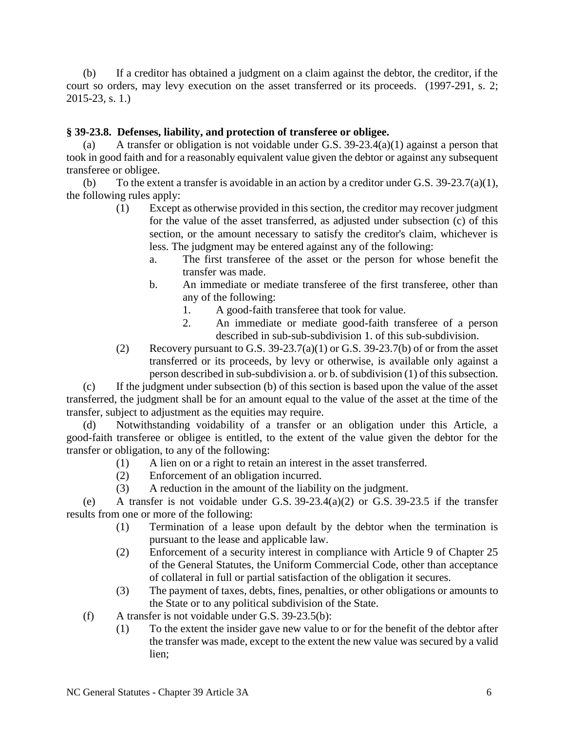(b) If a creditor has obtained a judgment on a claim against the debtor, the creditor, if the court so orders, may levy execution on the asset transferred or its proceeds. (1997-291, s. 2; 2015-23, s. 1.)

## **§ 39-23.8. Defenses, liability, and protection of transferee or obligee.**

(a) A transfer or obligation is not voidable under G.S. 39-23.4(a)(1) against a person that took in good faith and for a reasonably equivalent value given the debtor or against any subsequent transferee or obligee.

(b) To the extent a transfer is avoidable in an action by a creditor under G.S.  $39-23.7(a)(1)$ , the following rules apply:

- (1) Except as otherwise provided in this section, the creditor may recover judgment for the value of the asset transferred, as adjusted under subsection (c) of this section, or the amount necessary to satisfy the creditor's claim, whichever is less. The judgment may be entered against any of the following:
	- a. The first transferee of the asset or the person for whose benefit the transfer was made.
	- b. An immediate or mediate transferee of the first transferee, other than any of the following:
		- 1. A good-faith transferee that took for value.
		- 2. An immediate or mediate good-faith transferee of a person described in sub-sub-subdivision 1. of this sub-subdivision.
- (2) Recovery pursuant to G.S.  $39-23.7(a)(1)$  or G.S.  $39-23.7(b)$  of or from the asset transferred or its proceeds, by levy or otherwise, is available only against a person described in sub-subdivision a. or b. of subdivision (1) of this subsection.

(c) If the judgment under subsection (b) of this section is based upon the value of the asset transferred, the judgment shall be for an amount equal to the value of the asset at the time of the transfer, subject to adjustment as the equities may require.

(d) Notwithstanding voidability of a transfer or an obligation under this Article, a good-faith transferee or obligee is entitled, to the extent of the value given the debtor for the transfer or obligation, to any of the following:

- (1) A lien on or a right to retain an interest in the asset transferred.
- (2) Enforcement of an obligation incurred.
- (3) A reduction in the amount of the liability on the judgment.

(e) A transfer is not voidable under G.S.  $39-23.4(a)(2)$  or G.S.  $39-23.5$  if the transfer results from one or more of the following:

- (1) Termination of a lease upon default by the debtor when the termination is pursuant to the lease and applicable law.
- (2) Enforcement of a security interest in compliance with Article 9 of Chapter 25 of the General Statutes, the Uniform Commercial Code, other than acceptance of collateral in full or partial satisfaction of the obligation it secures.
- (3) The payment of taxes, debts, fines, penalties, or other obligations or amounts to the State or to any political subdivision of the State.
- (f) A transfer is not voidable under G.S. 39-23.5(b):
	- (1) To the extent the insider gave new value to or for the benefit of the debtor after the transfer was made, except to the extent the new value was secured by a valid lien;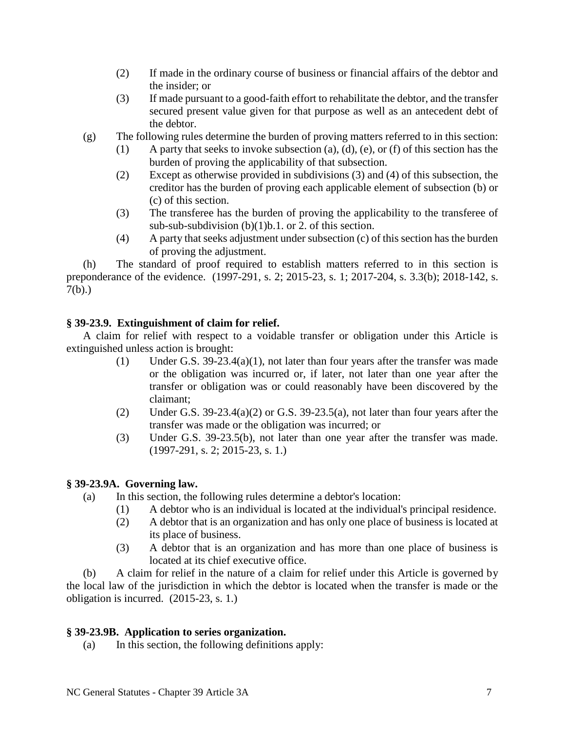- (2) If made in the ordinary course of business or financial affairs of the debtor and the insider; or
- (3) If made pursuant to a good-faith effort to rehabilitate the debtor, and the transfer secured present value given for that purpose as well as an antecedent debt of the debtor.
- (g) The following rules determine the burden of proving matters referred to in this section:
	- (1) A party that seeks to invoke subsection (a), (d), (e), or (f) of this section has the burden of proving the applicability of that subsection.
	- (2) Except as otherwise provided in subdivisions (3) and (4) of this subsection, the creditor has the burden of proving each applicable element of subsection (b) or (c) of this section.
	- (3) The transferee has the burden of proving the applicability to the transferee of sub-sub-subdivision (b)(1)b.1. or 2. of this section.
	- (4) A party that seeks adjustment under subsection (c) of this section has the burden of proving the adjustment.

(h) The standard of proof required to establish matters referred to in this section is preponderance of the evidence. (1997-291, s. 2; 2015-23, s. 1; 2017-204, s. 3.3(b); 2018-142, s. 7(b).)

# **§ 39-23.9. Extinguishment of claim for relief.**

A claim for relief with respect to a voidable transfer or obligation under this Article is extinguished unless action is brought:

- (1) Under G.S. 39-23.4(a)(1), not later than four years after the transfer was made or the obligation was incurred or, if later, not later than one year after the transfer or obligation was or could reasonably have been discovered by the claimant;
- (2) Under G.S.  $39-23.4(a)(2)$  or G.S.  $39-23.5(a)$ , not later than four years after the transfer was made or the obligation was incurred; or
- (3) Under G.S. 39-23.5(b), not later than one year after the transfer was made. (1997-291, s. 2; 2015-23, s. 1.)

### **§ 39-23.9A. Governing law.**

- (a) In this section, the following rules determine a debtor's location:
	- (1) A debtor who is an individual is located at the individual's principal residence.
		- (2) A debtor that is an organization and has only one place of business is located at its place of business.
		- (3) A debtor that is an organization and has more than one place of business is located at its chief executive office.

(b) A claim for relief in the nature of a claim for relief under this Article is governed by the local law of the jurisdiction in which the debtor is located when the transfer is made or the obligation is incurred. (2015-23, s. 1.)

### **§ 39-23.9B. Application to series organization.**

(a) In this section, the following definitions apply: